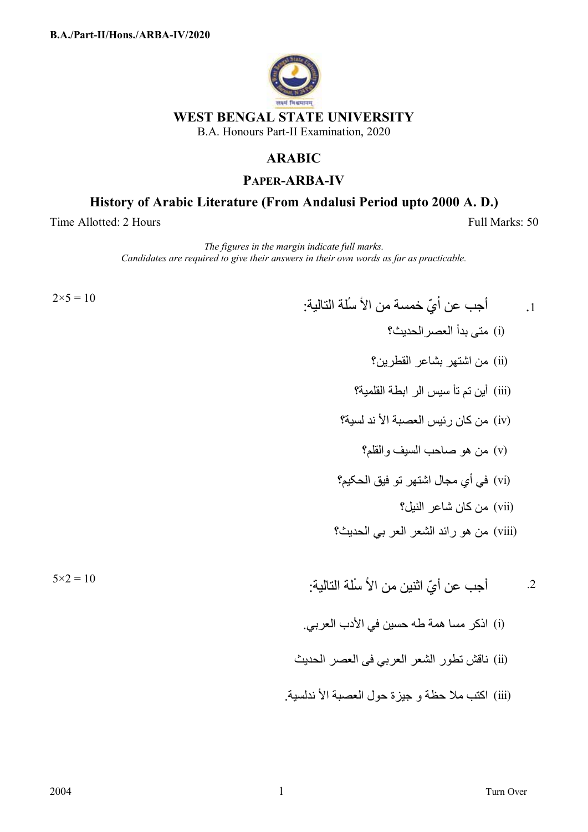

## **ARABIC**

## **PAPER-ARBA-IV**

## **History of Arabic Literature (From Andalusi Period upto 2000 A. D.)**

Time Allotted: 2 Hours Full Marks: 50

 $2\times 5 =$ 

*The figures in the margin indicate full marks. Candidates are required to give their answers in their own words as far as practicable.*

1.  
\n14. 
$$
|\frac{1}{4}x - \frac{1}{4}x^2 + \frac{1}{4}x^3 + \frac{1}{4}x^2 + \cdots
$$
  
\n15) من اشتمر سلاتالقطرين?  
\n16) من اشتمر سلاسالحلايية?  
\n17) من كان رئيس العصية الأند لسية?  
\n18) من كان رئيس العصية الأند لسية?  
\n19) من هو صاحب السيف والقلم?  
\n19) من كان شاعر انو في قية الحكيم?  
\n10، من هو راند الشعر العر بي الحديث?  
\n2. أجب عن أيَ اثنيز من الأ سُلة التالية:  
\n2. أجب عن أيَ اثنيز من الأ سُلة التالية:  
\n2. أجب عن أيَ اثنيز من الأ سُلة التالية:  
\n2.

 $5\times2 =$